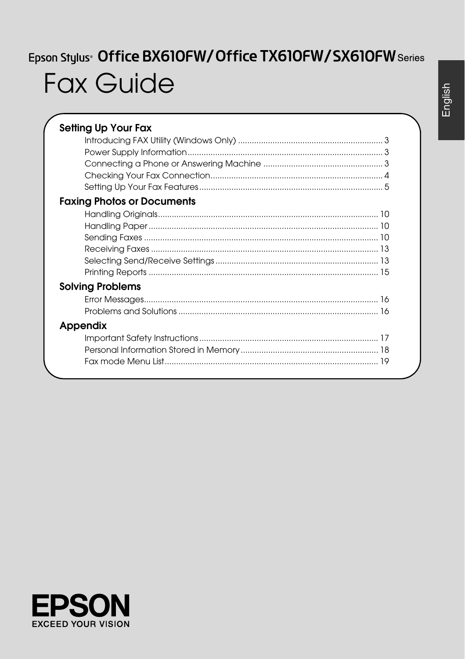# Epson Stylus<sup>®</sup> Office BX610FW/Office TX610FW/SX610FW Series **Fax Guide**

| <b>Setting Up Your Fax</b>        |
|-----------------------------------|
|                                   |
|                                   |
|                                   |
|                                   |
|                                   |
| <b>Faxing Photos or Documents</b> |
|                                   |
|                                   |
|                                   |
|                                   |
|                                   |
|                                   |
| <b>Solving Problems</b>           |
|                                   |
|                                   |
| Appendix                          |
|                                   |
|                                   |
|                                   |
|                                   |



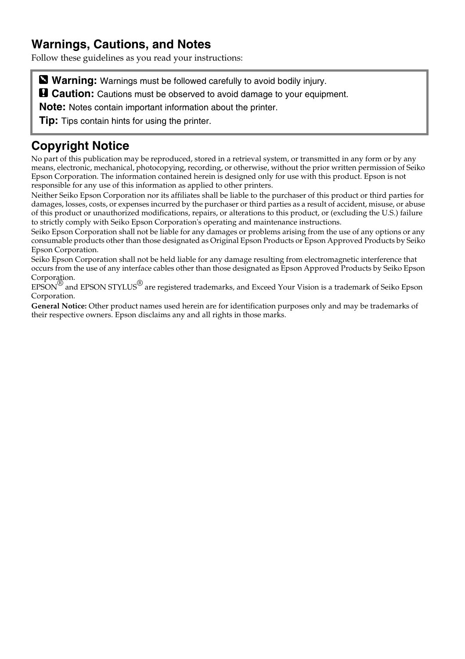## **Warnings, Cautions, and Notes**

Follow these guidelines as you read your instructions:

**Warning:** Warnings must be followed carefully to avoid bodily injury.

**a** Caution: Cautions must be observed to avoid damage to your equipment.

**Note:** Notes contain important information about the printer.

**Tip:** Tips contain hints for using the printer.

## **Copyright Notice**

No part of this publication may be reproduced, stored in a retrieval system, or transmitted in any form or by any means, electronic, mechanical, photocopying, recording, or otherwise, without the prior written permission of Seiko Epson Corporation. The information contained herein is designed only for use with this product. Epson is not responsible for any use of this information as applied to other printers.

Neither Seiko Epson Corporation nor its affiliates shall be liable to the purchaser of this product or third parties for damages, losses, costs, or expenses incurred by the purchaser or third parties as a result of accident, misuse, or abuse of this product or unauthorized modifications, repairs, or alterations to this product, or (excluding the U.S.) failure to strictly comply with Seiko Epson Corporation's operating and maintenance instructions.

Seiko Epson Corporation shall not be liable for any damages or problems arising from the use of any options or any consumable products other than those designated as Original Epson Products or Epson Approved Products by Seiko Epson Corporation.

Seiko Epson Corporation shall not be held liable for any damage resulting from electromagnetic interference that occurs from the use of any interface cables other than those designated as Epson Approved Products by Seiko Epson Corporation.

EPSON® and EPSON STYLUS® are registered trademarks, and Exceed Your Vision is a trademark of Seiko Epson Corporation.

**General Notice:** Other product names used herein are for identification purposes only and may be trademarks of their respective owners. Epson disclaims any and all rights in those marks.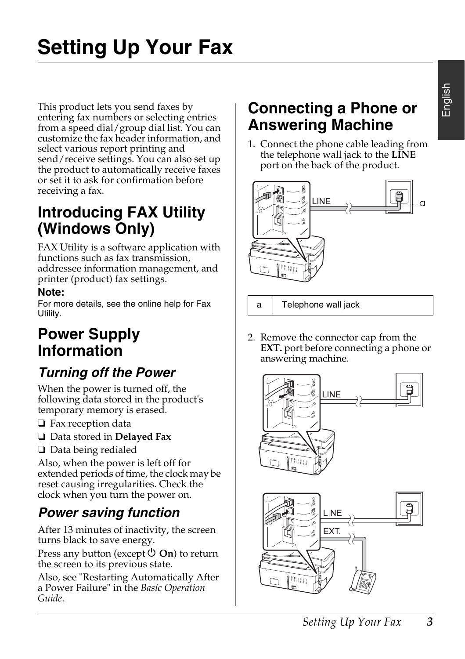This product lets you send faxes by entering fax numbers or selecting entries from a speed dial/group dial list. You can customize the fax header information, and select various report printing and send/receive settings. You can also set up the product to automatically receive faxes or set it to ask for confirmation before receiving a fax.

# **Introducing FAX Utility (Windows Only)**

FAX Utility is a software application with functions such as fax transmission, addressee information management, and printer (product) fax settings.

#### **Note:**

For more details, see the online help for Fax Utility.

# **Power Supply Information**

# *Turning off the Power*

When the power is turned off, the following data stored in the product's temporary memory is erased.

- ❏ Fax reception data
- ❏ Data stored in **Delayed Fax**
- ❏ Data being redialed

Also, when the power is left off for extended periods of time, the clock may be reset causing irregularities. Check the clock when you turn the power on.

# *Power saving function*

After 13 minutes of inactivity, the screen turns black to save energy.

Press any button (except  $\circlearrowleft$  **On**) to return the screen to its previous state.

Also, see "Restarting Automatically After a Power Failure" in the *Basic Operation Guide*.

# **Connecting a Phone or Answering Machine**

1. Connect the phone cable leading from the telephone wall jack to the **LINE** port on the back of the product.



a Telephone wall jack

2. Remove the connector cap from the **EXT.** port before connecting a phone or answering machine.



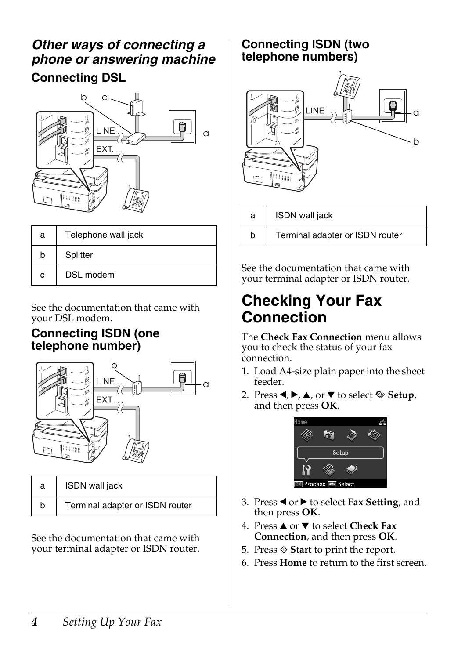# *Other ways of connecting a phone or answering machine* **Connecting DSL**



| a | Telephone wall jack |
|---|---------------------|
| h | Splitter            |
| с | DSL modem           |

See the documentation that came with your DSL modem.

#### **Connecting ISDN (one telephone number)**



| а | ISDN wall jack                  |  |
|---|---------------------------------|--|
| h | Terminal adapter or ISDN router |  |

See the documentation that came with your terminal adapter or ISDN router.

## **Connecting ISDN (two telephone numbers)**



| a | <b>ISDN</b> wall jack           |
|---|---------------------------------|
| h | Terminal adapter or ISDN router |

See the documentation that came with your terminal adapter or ISDN router.

# <span id="page-3-0"></span>**Checking Your Fax Connection**

The **Check Fax Connection** menu allows you to check the status of your fax connection.

- 1. Load A4-size plain paper into the sheet feeder.
- 2. Press  $\blacktriangle, \blacktriangleright, \blacktriangle$ , or  $\nabla$  to select  $\diamondsuit$  **Setup**, and then press **OK**.



- 3. Press < or  $\triangleright$  to select **Fax Setting**, and then press **OK**.
- 4. Press **▲** or ▼ to select **Check Fax Connection**, and then press **OK**.
- 5. Press  $\Diamond$  **Start** to print the report.
- 6. Press **Home** to return to the first screen.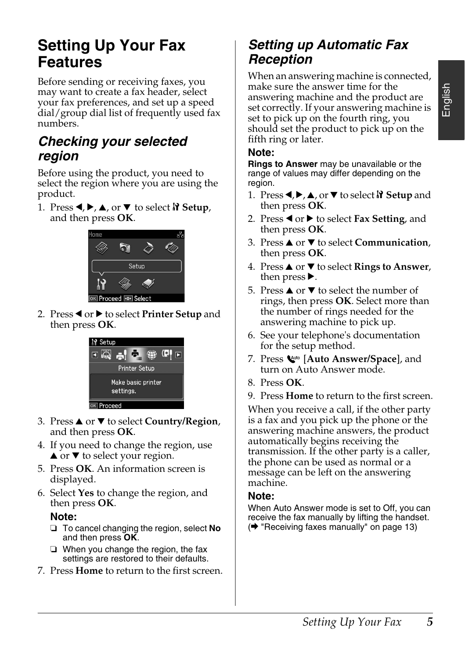# **Setting Up Your Fax Features**

Before sending or receiving faxes, you may want to create a fax header, select your fax preferences, and set up a speed dial/group dial list of frequently used fax numbers.

## *Checking your selected region*

Before using the product, you need to select the region where you are using the product.

1. Press  $\blacktriangle$ ,  $\blacktriangleright$ ,  $\blacktriangle$ , or  $\nabla$  to select  $\aleph$  Setup, and then press **OK**.



2. Press < or  $\triangleright$  to select **Printer Setup** and then press **OK**.



- 3. Press **▲** or ▼ to select **Country/Region**, and then press **OK**.
- 4. If you need to change the region, use  $\blacktriangle$  or  $\nabla$  to select your region.
- 5. Press **OK**. An information screen is displayed.
- 6. Select **Yes** to change the region, and then press **OK**.

**Note:**

- ❏ To cancel changing the region, select **No** and then press **OK**.
- ❏ When you change the region, the fax settings are restored to their defaults.
- 7. Press **Home** to return to the first screen.

## *Setting up Automatic Fax Reception*

When an answering machine is connected, make sure the answer time for the answering machine and the product are set correctly. If your answering machine is set to pick up on the fourth ring, you should set the product to pick up on the fifth ring or later.

#### **Note:**

**Rings to Answer** may be unavailable or the range of values may differ depending on the region.

- 1. Press **I**, ►, ▲, or ▼ to select **N** Setup and then press **OK**.
- 2. Press  $\triangleleft$  or  $\triangleright$  to select **Fax Setting**, and then press **OK**.
- 3. Press **▲** or ▼ to select **Communication**, then press **OK**.
- 4. Press **▲** or ▼ to select **Rings to Answer**, then press  $\blacktriangleright$ .
- 5. Press  $\triangle$  or  $\nabla$  to select the number of rings, then press **OK**. Select more than the number of rings needed for the answering machine to pick up.
- 6. See your telephone's documentation for the setup method.
- 7. Press [**Auto Answer/Space**], and turn on Auto Answer mode.
- 8. Press **OK**.
- 9. Press **Home** [to return to the first scr](#page-12-1)een.

When you receive a call, if the other party is a fax and you pick up the phone or the answering machine answers, the product automatically begins receiving the transmission. If the other party is a caller, the phone can be used as normal or a message can be left on the answering machine.

#### **Note:**

When Auto Answer mode is set to Off, you can receive the fax manually by lifting the handset. (→ "Receiving faxes manually" on page 13)

English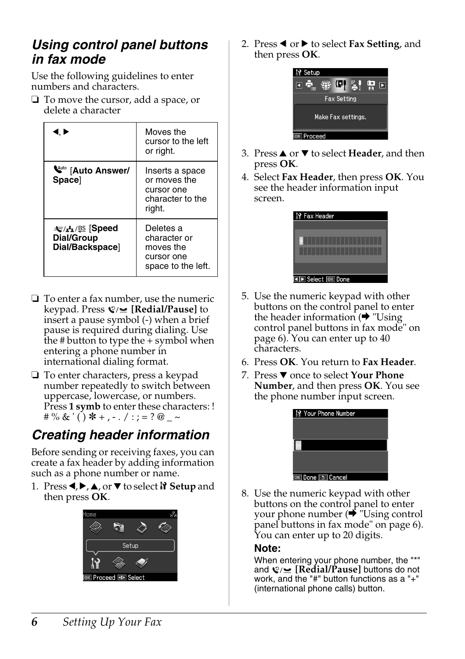## <span id="page-5-0"></span>*Using control panel buttons in fax mode*

Use the following guidelines to enter numbers and characters.

❏ To move the cursor, add a space, or delete a character

| I. Þ                                                 | Moves the<br>cursor to the left<br>or right.                                |
|------------------------------------------------------|-----------------------------------------------------------------------------|
| <b>W</b> <sup>to</sup> [Auto Answer/<br><b>Space</b> | Inserts a space<br>or moves the<br>cursor one<br>character to the<br>right. |
| ા Speed<br>Dial/Group<br>Dial/Backspace]             | Deletes a<br>character or<br>moves the<br>cursor one<br>space to the left.  |

- ❏ To enter a fax number, use the numeric keypad. Press **[Redial/Pause]** to insert a pause symbol (-) when a brief pause is required during dialing. Use the  $\#$  button to type the  $+$  symbol when entering a phone number in international dialing format.
- ❏ To enter characters, press a keypad number repeatedly to switch between uppercase, lowercase, or numbers. Press 1 symb to enter these characters: ! # % & ' ( ) \* + , - . / : ; = ? @ \_ ~

# *Creating header information*

Before sending or receiving faxes, you can create a fax header by adding information such as a phone number or name.

1. Press  $\blacktriangle$ ,  $\blacktriangleright$ ,  $\blacktriangle$ , or  $\nabla$  to select  $\aleph$  **Setup** and then press **OK**.



2. Press ◀ or ▶ to select **Fax Setting**, and then press **OK**.



- 3. Press **▲** or ▼ to select **Header**, and then press **OK**.
- 4. Select **Fax Header**, then press **OK**[. You](#page-5-0)  [see the header information input](#page-5-0)  [screen.](#page-5-0)



- 5. Use the numeric keypad with other buttons on the control panel to enter the header information  $(\rightarrow$  "Using" control panel buttons in fax mode" on page 6). You can enter up to 40 characters.
- 6. Press **OK**. You return to **Fax Header**.
- 7. Press ▼ once to select **Your Phone Number**[, and then press](#page-5-0) **OK**. You see the phone number input screen.



8. Use the numeric keypad with other buttons on the control panel to enter your phone number  $(\bigstar$  "Using control" panel buttons in fax mode" on page 6). You can enter up to 20 digits.

#### **Note:**

When entering your phone number, the "\*" and **©**/**<u>■</u> [Redial/Pause]** buttons do not work, and the "#" button functions as a "+" (international phone calls) button.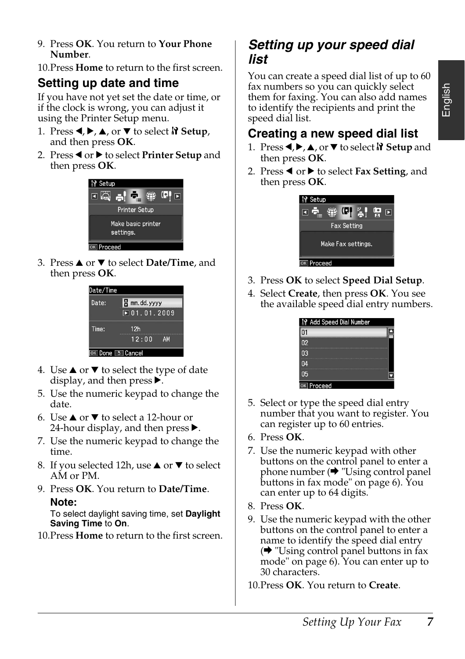9. Press **OK**. You return to **Your Phone Number**.

10.Press **Home** to return to the first screen.

### **Setting up date and time**

If you have not yet set the date or time, or if the clock is wrong, you can adjust it using the Printer Setup menu.

- 1. Press  $\blacktriangle$ ,  $\blacktriangleright$ ,  $\blacktriangle$ , or  $\nabla$  to select  $\aleph$  Setup, and then press **OK**.
- 2. Press < or  $\blacktriangleright$  to select **Printer Setup** and then press **OK**.



3. Press **▲** or ▼ to select **Date/Time**, and then press **OK**.



- 4. Use  $\blacktriangle$  or  $\nabla$  to select the type of date display, and then press  $\blacktriangleright$ .
- 5. Use the numeric keypad to change the date.
- 6. Use  $\triangle$  or  $\nabla$  to select a 12-hour or 24-hour display, and then press  $\blacktriangleright$ .
- 7. Use the numeric keypad to change the time.
- 8. If you selected 12h, use  $\blacktriangle$  or  $\nabla$  to select AM or PM.
- 9. Press **OK**. You return to **Date/Time**. **Note:**

To select daylight saving time, set **Daylight Saving Time** to **On**.

10.Press **Home** to return to the first screen.

## *Setting up your speed dial list*

You can create a speed dial list of up to 60 fax numbers so you can quickly select them for faxing. You can also add names to identify the recipients and print the speed dial list.

# English

# **Creating a new speed dial list**

- 1. Press **I**, ►, ▲, or ▼ to select **N** Setup and then press **OK**.
- 2. Press < or  $\blacktriangleright$  to select **Fax Setting**, and then press **OK**.



- 3. Press **OK** to select **Speed Dial Setup**.
- 4. Select **Create**, then press **OK**. You see the available speed dial entry numbers.



- 5. Select or type the speed dial entry nu[mber that you want to register. You](#page-5-0)  [can register up to](#page-5-0) 60 entries.
- 6. Press **OK**.
- 7. Use the numeric keypad with other buttons on the control panel to enter a phone number  $(\rightarrow$  "Using control panel buttons in fax mode" on page 6). You can enter up to 64 digits.
- 8. Press **OK**.
- 9. Use the numeric keypad with the other buttons on the control panel to enter a name to identify the speed dial entry  $\rightarrow$  "Using control panel buttons in fax mode" on page 6). You can enter up to 30 characters.
- 10.Press **OK**. You return to **Create**.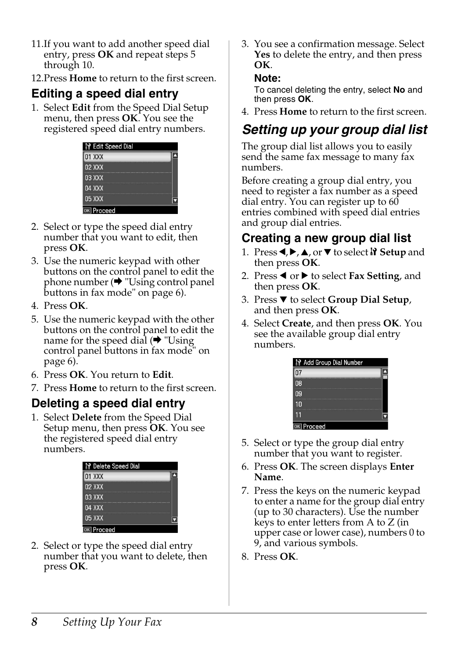11.If you want to add another speed dial entry, press **OK** and repeat steps 5 through 10.

12.Press **Home** to return to the first screen.

#### **Editing a speed dial entry**

1. Select **Edit** from the Speed Dial Setup menu, then press **OK**. You see the registered speed dial entry numbers.



- [2. Select o](#page-5-0)r type the speed dial entry number that you want to edit, then press **OK**.
- 3. Use the numeric keypad with other buttons on the control panel to edit the phone number  $(\rightarrow$  "Using control panel buttons in fax mode" on page 6).
- 4. Press **OK**.
- 5. Use the numeric keypad with the other buttons on the control panel to edit the name for the speed dial  $(\rightarrow$  "Using" control panel buttons in fax mode" on page 6).
- 6. Press **OK**. You return to **Edit**.
- 7. Press **Home** to return to the first screen.

#### **Deleting a speed dial entry**

1. Select **Delete** from the Speed Dial Setup menu, then press **OK**. You see the registered speed dial entry numbers.

| <b>N</b> Delete Speed Dial |
|----------------------------|
| <b>01 XXX</b>              |
| $02$ XXX                   |
| 03 XXX                     |
| <b>04 XXX</b>              |
| 05 XXX                     |
| ncoor                      |

2. Select or type the speed dial entry number that you want to delete, then press **OK**.

3. You see a confirmation message. Select **Yes** to delete the entry, and then press **OK**.

#### **Note:**

To cancel deleting the entry, select **No** and then press **OK**.

4. Press **Home** to return to the first screen.

# *Setting up your group dial list*

The group dial list allows you to easily send the same fax message to many fax numbers.

Before creating a group dial entry, you need to register a fax number as a speed dial entry. You can register up to 60 entries combined with speed dial entries and group dial entries.

#### **Creating a new group dial list**

- 1. Press  $\blacktriangle$ ,  $\blacktriangleright$ ,  $\blacktriangle$ , or  $\nabla$  to select  $\aleph$  **Setup** and then press **OK**.
- 2. Press ◀ or ▶ to select **Fax Setting**, and then press **OK**.
- 3. Press ▼ to select **Group Dial Setup**, and then press **OK**.
- 4. Select **Create**, and then press **OK**. You see the available group dial entry numbers.



- 5. Select or type the group dial entry number that you want to register.
- 6. Press **OK**. The screen displays **Enter Name**.
- 7. Press the keys on the numeric keypad to enter a name for the group dial entry (up to 30 characters). Use the number keys to enter letters from A to Z (in upper case or lower case), numbers 0 to 9, and various symbols.
- 8. Press **OK**.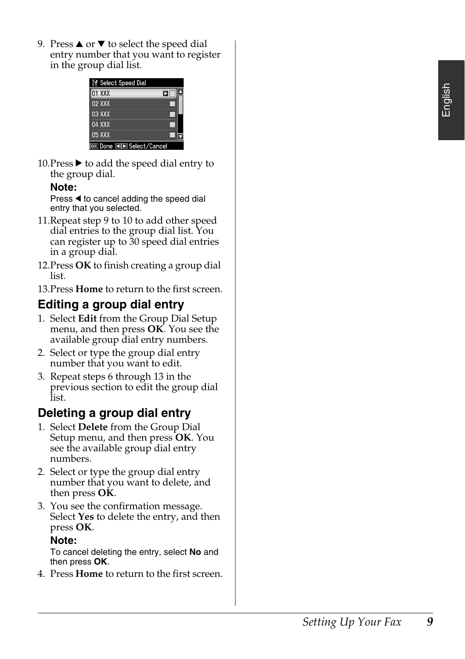9. Press  $\triangle$  or  $\nabla$  to select the speed dial entry number that you want to register in the group dial list.

| <b>P</b> Select Speed Dial |  |
|----------------------------|--|
| 01 XXX                     |  |
| <b>02 XXX</b>              |  |
| 03 XXX                     |  |
| 04 XXX                     |  |
| 05 XXX                     |  |
| Oone I D Select/Cancel     |  |

10. Press  $\blacktriangleright$  to add the speed dial entry to the group dial.

#### **Note:**

Press  $\triangleleft$  to cancel adding the speed dial entry that you selected.

- 11.Repeat step 9 to 10 to add other speed dial entries to the group dial list. You can register up to 30 speed dial entries in a group dial.
- 12.Press **OK** to finish creating a group dial list.
- 13.Press **Home** to return to the first screen.

# **Editing a group dial entry**

- 1. Select **Edit** from the Group Dial Setup menu, and then press **OK**. You see the available group dial entry numbers.
- 2. Select or type the group dial entry number that you want to edit.
- 3. Repeat steps 6 through 13 in the previous section to edit the group dial list.

## **Deleting a group dial entry**

- 1. Select **Delete** from the Group Dial Setup menu, and then press **OK**. You see the available group dial entry numbers.
- 2. Select or type the group dial entry number that you want to delete, and then press **OK**.
- 3. You see the confirmation message. Select **Yes** to delete the entry, and then press **OK**.

#### **Note:**

To cancel deleting the entry, select **No** and then press **OK**.

4. Press **Home** to return to the first screen.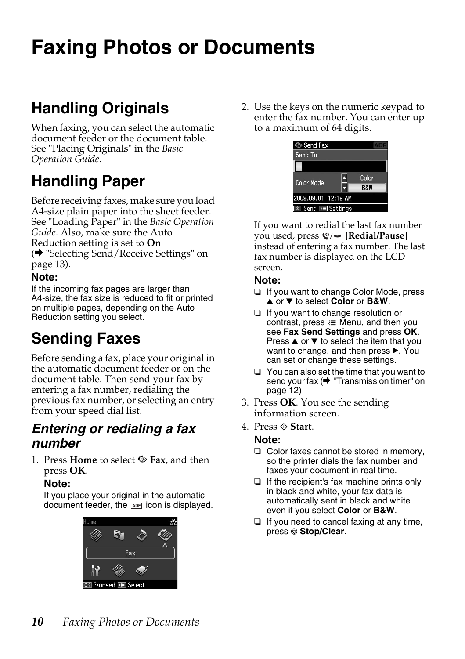# <span id="page-9-1"></span><span id="page-9-0"></span>**Faxing Photos or Documents**

# **H[andling Originals](#page-12-0)**

[When fa](#page-12-0)xing, you can select the automatic document feeder or the document table. See "Placing Originals" in the *Basic Operation Guide*.

# **Handling Paper**

<span id="page-9-2"></span>Before receiving faxes, make sure you load A4-size plain paper into the sheet feeder. See "Loading Paper" in the *Basic Operation Guide*. Also, make sure the Auto Reduction setting is set to **On** (→ "Selecting Send/Receive Settings" on page 13).

#### **Note:**

<span id="page-9-3"></span>If the incoming fax pages are larger than A4-size, the fax size is reduced to fit or printed on multiple pages, depending on the Auto Reduction setting you select.

# **Sending Faxes**

Before sending a fax, place your original in the automatic document feeder or on the document table. Then send your fax by entering a fax number, redialing the previous fax number, or selecting an entry from your speed dial list.

### *Entering or redialing a fax number*

1. Press **Home** to select  $\otimes$  **Fax**, and then press **OK**.

#### **Note:**

If you place your original in the automatic document feeder, the **ADF** icon is displayed.



2. Use the keys on the numeric keypad to enter the fax number. You can enter up to a maximum of 64 digits.



If you want to redial the last fax number you used, press [**Redial/Pause**] instead of entering [a fax number. The last](#page-11-0)  [fax number](#page-11-0) is displayed on the LCD screen.

#### **Note:**

- ❏ If you want to change Color Mode, press **A** or ▼ to select **Color** or **B&W**.
- ❏ If you want to change resolution or contrast, press  $\equiv$  Menu, and then you see **Fax Send Settings** and press **OK**. Press  $\triangle$  or  $\nabla$  to select the item that you want to change, and then press  $\blacktriangleright$ . You can set or change these settings.
- ❏ You can also set the time that you want to send your fax ( $\blacklozenge$  "Transmission timer" on page 12)
- 3. Press **OK**. You see the sending information screen.
- 4. Press  $\Diamond$  **Start**.

#### **Note:**

- ❏ Color faxes cannot be stored in memory, so the printer dials the fax number and faxes your document in real time.
- ❏ If the recipient's fax machine prints only in black and white, your fax data is automatically sent in black and white even if you select **Color** or **B&W**.
- ❏ If you need to cancel faxing at any time, press  $\otimes$  **Stop/Clear.**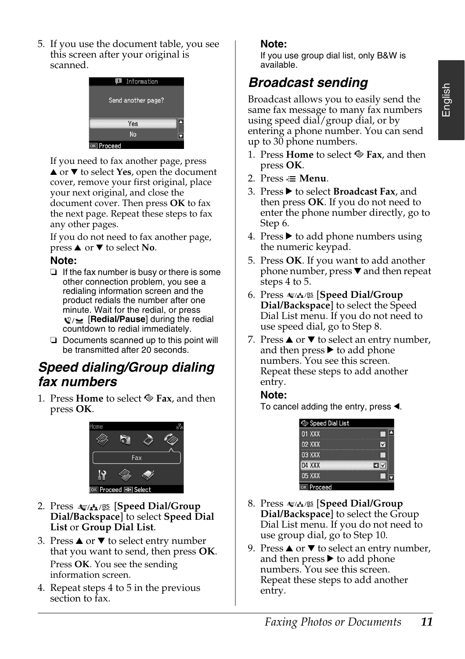5. If you use the document table, you see this screen after your original is scanned.



If you need to fax another page, press  $\triangle$  or  $\nabla$  to select **Yes**, open the document cover, remove your first original, place your next original, and close the document cover. Then press **OK** to fax the next page. Repeat these steps to fax any other pages.

If you do not need to fax another page, press **▲** or ▼ to select **No**.

#### **Note:**

- ❏ If the fax number is busy or there is some other connection problem, you see a redialing information screen and the product redials the number after one minute. Wait for the redial, or press  $\mathcal{Q}$  [**Redial/Pause**] during the redial countdown to redial immediately.
- ❏ Documents scanned up to this point will be transmitted after 20 seconds.

## *Speed dialing/Group dialing fax numbers*

1. Press **Home** to select  $\otimes$  **Fax**, and then press **OK**.



- 2. Press  $\sqrt{\frac{A}{2}}$ /BS [Speed Dial/Group **Dial/Backspace**] to select **Speed Dial List** or **Group Dial List**.
- 3. Press  $\triangle$  or  $\nabla$  to select entry number that you want to send, then press **OK**. Press **OK**. You see the sending information screen.
- 4. Repeat steps 4 to 5 in the previous section to fax.

#### **Note:**

If you use group dial list, only B&W is available.

# *Broadcast sending*

Broadcast allows you to easily send the same fax message to many fax numbers using speed dial/group dial, or by entering a phone number. You can send up to 30 phone numbers.

- 1. Press **Home** to select  $\otimes$  **Fax**, and then press **OK**.
- 2. Press  $\equiv$  **Menu**.
- 3. Press  $\blacktriangleright$  to select **Broadcast Fax**, and then press **OK**. If you do not need to enter the phone number directly, go to Step 6.
- 4. Press  $\blacktriangleright$  to add phone numbers using the numeric keypad.
- 5. Press **OK**. If you want to add another phone number, press  $\nabla$  and then repeat steps 4 to 5.
- 6. Press [**Speed Dial/Group Dial/Backspace**] to select the Speed Dial List menu. If you do not need to use speed dial, go to Step 8.
- 7. Press  $\triangle$  or  $\nabla$  to select an entry number, and then press  $\blacktriangleright$  to add phone numbers. You see this screen. Repeat these steps to add another entry.

To cancel adding the entry, press  $\triangleleft$ .

#### **Note:**

Speed Dial List 01 XXX ┍ 02 XXX  $\overline{\mathbf{v}}$ 03 XXX П 04 XXX O 05 XXX OK Proceed

- 8. Press  $\leq$   $\mathbf{A}$   $\leq$   $\mathbf{S}$  [Speed Dial/Group **Dial/Backspace**] to select the Group Dial List menu. If you do not need to use group dial, go to Step 10.
- 9. Press  $\triangle$  or  $\nabla$  to select an entry number, and then press  $\blacktriangleright$  to add phone numbers. You see this screen. Repeat these steps to add another entry.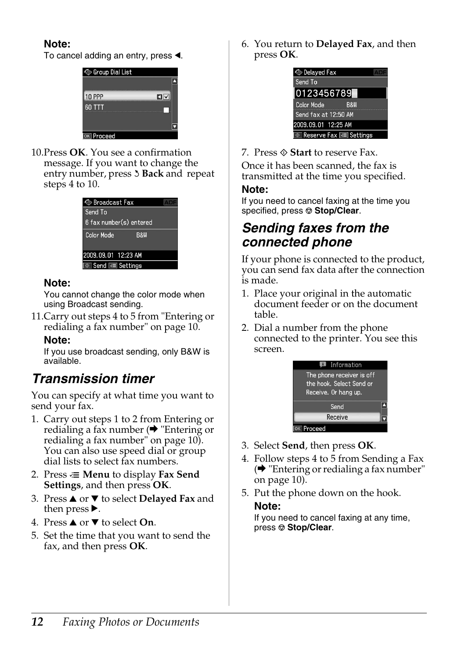#### **Note:**

To cancel adding an entry, press  $\triangleleft$ .



10.Press **OK**. You see a confirmation message. If you want to change the entry number, press 3 Back and repeat [steps 4 to 10.](#page-9-3)

| ⊗ Broadcast Fax                     |  |
|-------------------------------------|--|
| Send To                             |  |
| 6 fax number(s) entered             |  |
| <b>Color Mode</b><br><b>B&amp;W</b> |  |
| 2009.09.01 12:23 AM                 |  |
| ® Send ⊠≣ Settings                  |  |

#### <span id="page-11-0"></span>**Note:**

You cannot change the color [mode when](#page-9-3)  [using Broadcast sending.](#page-9-3)

11.Carry out steps 4 to 5 from "Entering or redialing a fax number" on page 10.

#### **Note:**

If you use broadcast sending, only B&W is available.

# *Transmission timer*

You can specify at what time you want to send your fax.

- 1. Carry out steps 1 to 2 from Entering or redialing a fax number  $(\bigstar$  "Entering or redialing a fax number" on page 10). You can also use speed dial or group dial lists to select fax numbers.
- 2. Press  $\equiv$  **Menu** to display **Fax Send Settings**, and then press **OK**.
- 3. Press **▲** or ▼ to select **Delayed Fax** and then press $\blacktriangleright$ .
- 4. Press **▲** or ▼ to select **On**.
- 5. Set the time that you want to send the fax, and then press **OK**.

6. You return to **Delayed Fax**, and then press **OK**.



7. Press  $\Diamond$  **Start** to reserve Fax.

Once it has been scanned, the fax is transmitted at the time you specified.

#### **Note:**

If you need to cancel faxing at the time you specified, press  $\otimes$  **Stop/Clear**.

# *Sending faxes from the connected phone*

If your phone is connected to the product, you can send fax data after the connection is made.

- 1. Place your original in the automatic document feeder or on the document table.
- 2. Di[al a number from the phone](#page-9-3)  [connected](#page-9-3) to the printer. You see this screen.



- 3. Select **Send**, then press **OK**.
- 4. Follow steps 4 to 5 from Sending a Fax  $\leftrightarrow$  "Entering or redialing a fax number" on page 10).
- 5. Put the phone down on the hook. **Note:**

If you need to cancel faxing at any time, press  $\otimes$  **Stop/Clear.**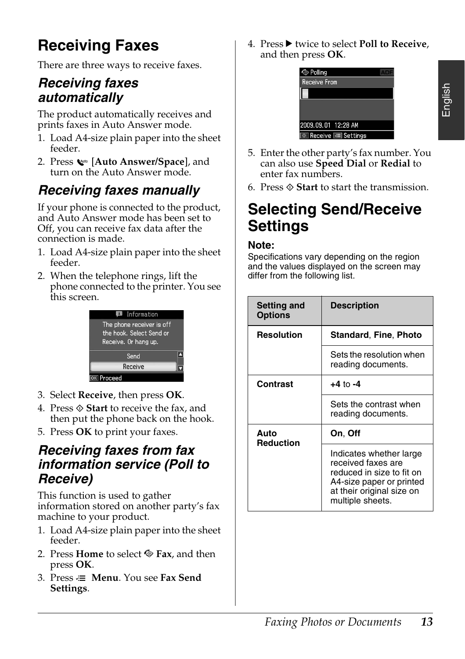# English

# **Receiving Faxes**

There are three ways to receive faxes.

# *Receiving faxes automatically*

The product automatically receives and prints faxes in Auto Answer mode.

- 1. Load A4-size plain paper into the sheet feeder.
- 2. Press [**Auto Answer/Space**], and turn on the Auto Answer mode.

# <span id="page-12-1"></span>*Receiving faxes manually*

If your phone is connected to the product, and Auto Answer mode has been set to Off, you can receive fax data after the connection is made.

- 1. Load A4-size plain paper into the sheet feeder.
- 2. When the telephone rings, lift the phone connected to the printer. You see this screen.



- 3. Select **Receive**, then press **OK**.
- 4. Press  $\otimes$  **Start** to receive the fax, and then put the phone back on the hook.
- 5. Press **OK** to print your faxes.

# *Receiving faxes from fax information service (Poll to Receive)*

This function is used to gather information stored on another party's fax machine to your product.

- 1. Load A4-size plain paper into the sheet feeder.
- 2. Press **Home** to select  $\otimes$  **Fax**, and then press **OK**.
- 3. Press **≥ Menu**. You see **Fax Send Settings**.

4. Press  $\blacktriangleright$  twice to select **Poll to Receive**, and then press **OK**.



- 5. Enter the other party's fax number. You can also use **Speed Dial** or **Redial** to enter fax numbers.
- <span id="page-12-2"></span>6. Press x **Start** to start the transmission.

# <span id="page-12-0"></span>**Selecting Send/Receive Settings**

#### **Note:**

Specifications vary depending on the region and the values displayed on the screen may differ from the following list.

| <b>Setting and</b><br><b>Options</b> | <b>Description</b>                                                                                                                                      |
|--------------------------------------|---------------------------------------------------------------------------------------------------------------------------------------------------------|
| Resolution                           | <b>Standard, Fine, Photo</b>                                                                                                                            |
|                                      | Sets the resolution when<br>reading documents.                                                                                                          |
| Contrast                             | $+4$ to $-4$                                                                                                                                            |
|                                      | Sets the contrast when<br>reading documents.                                                                                                            |
| Auto<br><b>Reduction</b>             | On, Off                                                                                                                                                 |
|                                      | Indicates whether large<br>received faxes are<br>reduced in size to fit on<br>A4-size paper or printed<br>at their original size on<br>multiple sheets. |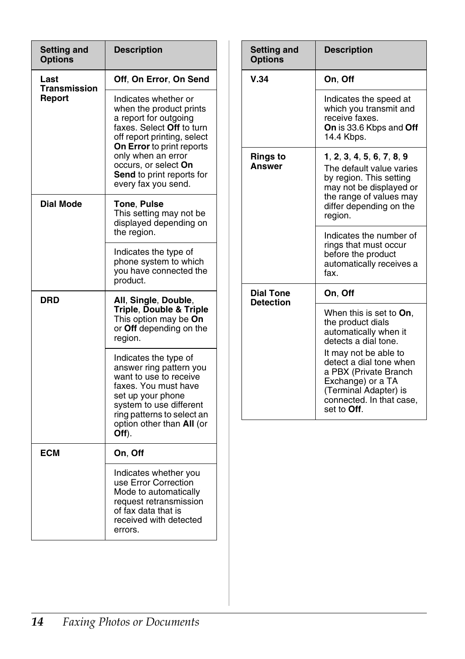| <b>Setting and</b><br><b>Options</b>  | <b>Description</b>                                                                                                                                                                                                                                                         |
|---------------------------------------|----------------------------------------------------------------------------------------------------------------------------------------------------------------------------------------------------------------------------------------------------------------------------|
| Last<br><b>Transmission</b><br>Report | Off, On Error, On Send                                                                                                                                                                                                                                                     |
|                                       | Indicates whether or<br>when the product prints<br>a report for outgoing<br>faxes. Select <b>Off</b> to turn<br>off report printing, select<br>On Error to print reports<br>only when an error<br>occurs, or select On<br>Send to print reports for<br>every fax you send. |
| <b>Dial Mode</b>                      | Tone, Pulse<br>This setting may not be<br>displayed depending on<br>the region.                                                                                                                                                                                            |
|                                       | Indicates the type of<br>phone system to which<br>you have connected the<br>product.                                                                                                                                                                                       |
| DRD                                   | All, Single, Double,<br>Triple, Double & Triple<br>This option may be On<br>or Off depending on the<br>region.                                                                                                                                                             |
|                                       | Indicates the type of<br>answer ring pattern you<br>want to use to receive<br>faxes. You must have<br>set up your phone<br>system to use different<br>ring patterns to select an<br>option other than All (or<br>Off).                                                     |
| ECM                                   | On, Off                                                                                                                                                                                                                                                                    |
|                                       | Indicates whether you<br>use Error Correction<br>Mode to automatically<br>request retransmission<br>of fax data that is<br>received with detected<br>errors.                                                                                                               |

| <b>Setting and</b><br><b>Options</b> | <b>Description</b>                                                                                                                                                                                                                                                          |
|--------------------------------------|-----------------------------------------------------------------------------------------------------------------------------------------------------------------------------------------------------------------------------------------------------------------------------|
| V.34                                 | On, Off                                                                                                                                                                                                                                                                     |
|                                      | Indicates the speed at<br>which you transmit and<br>receive faxes.<br><b>On</b> is 33.6 Kbps and <b>Off</b><br>14.4 Kbps.                                                                                                                                                   |
| <b>Rings to</b><br>Answer            | 1, 2, 3, 4, 5, 6, 7, 8, 9<br>The default value varies<br>by region. This setting<br>may not be displayed or<br>the range of values may<br>differ depending on the<br>region.                                                                                                |
|                                      | Indicates the number of<br>rings that must occur<br>before the product<br>automatically receives a<br>fax.                                                                                                                                                                  |
| <b>Dial Tone</b>                     | On, Off                                                                                                                                                                                                                                                                     |
| <b>Detection</b>                     | When this is set to On,<br>the product dials<br>automatically when it<br>detects a dial tone.<br>It may not be able to<br>detect a dial tone when<br>a PBX (Private Branch<br>Exchange) or a TA<br>(Terminal Adapter) is<br>connected. In that case.<br>set to <b>Off</b> . |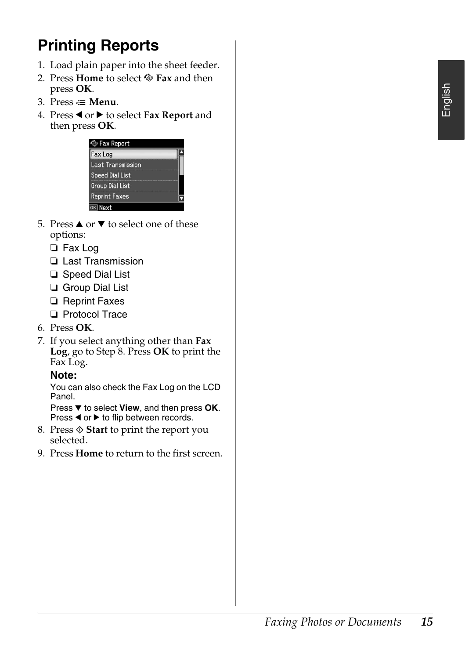# <span id="page-14-0"></span>**Printing Reports**

- 1. Load plain paper into the sheet feeder.
- 2. Press **Home** to select  $\otimes$  **Fax** and then press **OK**.
- 3. Press  $\equiv$  **Menu**.
- 4. Press < or  $\triangleright$  to select **Fax Report** and then press **OK**.



- 5. Press  $\triangle$  or  $\nabla$  to select one of these options:
	- ❏ Fax Log
	- ❏ Last Transmission
	- ❏ Speed Dial List
	- ❏ Group Dial List
	- ❏ Reprint Faxes
	- ❏ Protocol Trace
- 6. Press **OK**.
- 7. If you select anything other than **Fax Log**, go to Step 8. Press **OK** to print the Fax Log.

#### **Note:**

You can also check the Fax Log on the LCD Panel.

Press ▼ to select View, and then press OK. Press  $\blacktriangleleft$  or  $\blacktriangleright$  to flip between records.

- 8. Press  $\Diamond$  **Start** to print the report you selected.
- 9. Press **Home** to return to the first screen.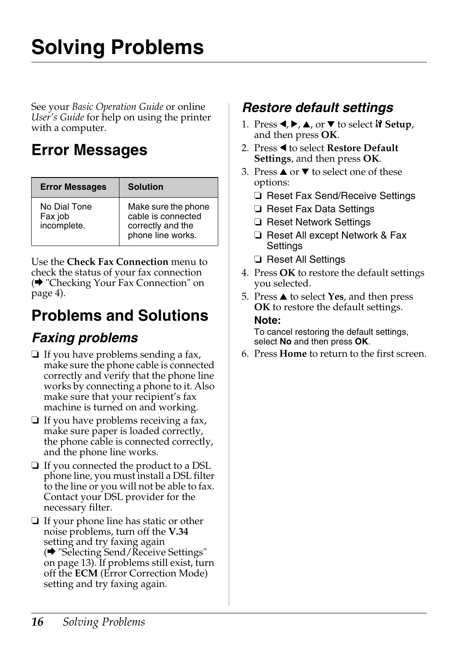# <span id="page-15-1"></span><span id="page-15-0"></span>**Solving Problems**

See your *Basic Operation Guide* or online *User's Guide* for help on using the printer with a computer.

# **[Error Messages](#page-3-0)**

<span id="page-15-2"></span>

| <b>Error Messages</b>                  | <b>Solution</b>                                                                     |
|----------------------------------------|-------------------------------------------------------------------------------------|
| No Dial Tone<br>Fax job<br>incomplete. | Make sure the phone<br>cable is connected<br>correctly and the<br>phone line works. |

Use the **Check Fax Connection** menu to check the status of your fax connection (→ "Checking Your Fax Connection" on page 4).

# **Problems and Solutions**

# *Faxing problems*

- ❏ If you have problems sending a fax, make sure the phone cable is connected correctly and verify that the phone line works by connecting a phone to it. Also make sure that your recipient's fax machine is turned on and working.
- ❏ If y[ou have problems receiving a fax,](#page-12-2)  [make sure](#page-12-2) paper is loaded correctly, the phone cable is connected correctly, and the phone line works.
- ❏ If you connected the product to a DSL phone line, you must install a DSL filter to the line or you will not be able to fax. Contact your DSL provider for the necessary filter.
- ❏ If your phone line has static or other noise problems, turn off the **V.34** setting and try faxing again (→ "Selecting Send/Receive Settings" on page 13). If problems still exist, turn off the **ECM** (Error Correction Mode) setting and try faxing again.

# *Restore default settings*

- 1. Press  $\blacktriangle$ ,  $\blacktriangleright$ ,  $\blacktriangle$ , or  $\nabla$  to select  $\aleph$  Setup, and then press **OK**.
- 2. Press < to select **Restore Default Settings**, and then press **OK**.
- 3. Press  $\triangle$  or  $\nabla$  to select one of these options:
	- ❏ Reset Fax Send/Receive Settings
	- ❏ Reset Fax Data Settings
	- ❏ Reset Network Settings
	- ❏ Reset All except Network & Fax Settings
	- ❏ Reset All Settings
- 4. Press **OK** to restore the default settings you selected.
- 5. Press **▲** to select **Yes**, and then press **OK** to restore the default settings. **Note:**

To cancel restoring the default settings, select **No** and then press **OK**.

6. Press **Home** to return to the first screen.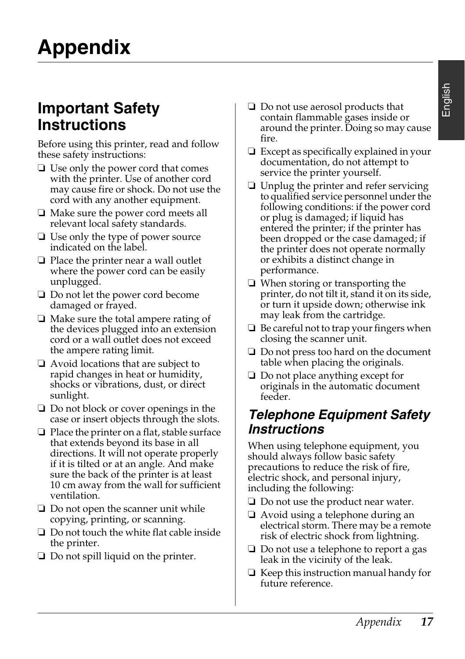# <span id="page-16-1"></span><span id="page-16-0"></span>**Important Safety Instructions**

Before using this printer, read and follow these safety instructions:

- ❏ Use only the power cord that comes with the printer. Use of another cord may cause fire or shock. Do not use the cord with any another equipment.
- ❏ Make sure the power cord meets all relevant local safety standards.
- ❏ Use only the type of power source indicated on the label.
- ❏ Place the printer near a wall outlet where the power cord can be easily unplugged.
- ❏ Do not let the power cord become damaged or frayed.
- ❏ Make sure the total ampere rating of the devices plugged into an extension cord or a wall outlet does not exceed the ampere rating limit.
- ❏ Avoid locations that are subject to rapid changes in heat or humidity, shocks or vibrations, dust, or direct sunlight.
- ❏ Do not block or cover openings in the case or insert objects through the slots.
- ❏ Place the printer on a flat, stable surface that extends beyond its base in all directions. It will not operate properly if it is tilted or at an angle. And make sure the back of the printer is at least 10 cm away from the wall for sufficient ventilation.
- ❏ Do not open the scanner unit while copying, printing, or scanning.
- ❏ Do not touch the white flat cable inside the printer.
- ❏ Do not spill liquid on the printer.
- ❏ Do not use aerosol products that contain flammable gases inside or around the printer. Doing so may cause fire.
- ❏ Except as specifically explained in your documentation, do not attempt to service the printer yourself.
- ❏ Unplug the printer and refer servicing to qualified service personnel under the following conditions: if the power cord or plug is damaged; if liquid has entered the printer; if the printer has been dropped or the case damaged; if the printer does not operate normally or exhibits a distinct change in performance.
- ❏ When storing or transporting the printer, do not tilt it, stand it on its side, or turn it upside down; otherwise ink may leak from the cartridge.
- ❏ Be careful not to trap your fingers when closing the scanner unit.
- ❏ Do not press too hard on the document table when placing the originals.
- ❏ Do not place anything except for originals in the automatic document feeder.

# *Telephone Equipment Safety Instructions*

When using telephone equipment, you should always follow basic safety precautions to reduce the risk of fire, electric shock, and personal injury, including the following:

- ❏ Do not use the product near water.
- ❏ Avoid using a telephone during an electrical storm. There may be a remote risk of electric shock from lightning.
- ❏ Do not use a telephone to report a gas leak in the vicinity of the leak.
- ❏ Keep this instruction manual handy for future reference.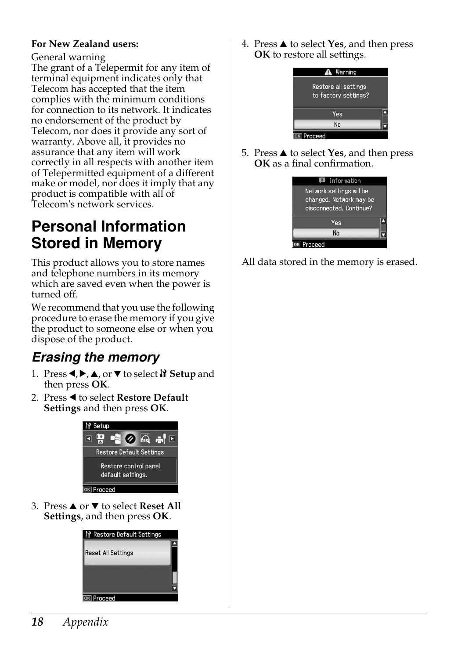#### **For New Zealand users:**

#### General warning

The grant of a Telepermit for any item of terminal equipment indicates only that Telecom has accepted that the item complies with the minimum conditions for connection to its network. It indicates no endorsement of the product by Telecom, nor does it provide any sort of warranty. Above all, it provides no assurance that any item will work correctly in all respects with another item of Telepermitted equipment of a different make or model, nor does it imply that any product is compatible with all of Telecom's network services.

# <span id="page-17-0"></span>**Personal Information Stored in Memory**

This product allows you to store names and telephone numbers in its memory which are saved even when the power is turned off.

We recommend that you use the following procedure to erase the memory if you give the product to someone else or when you dispose of the product.

# *Erasing the memory*

- 1. Press  $\blacktriangle$ ,  $\blacktriangleright$ ,  $\blacktriangle$ , or  $\nabla$  to select  $\aleph$  **Setup** and then press **OK**.
- 2. Press < to select **Restore Default Settings** and then press **OK**.



3. Press **▲** or ▼ to select **Reset All Settings**, and then press **OK**.



4. Press **▲** to select **Yes**, and then press **OK** to restore all settings.



5. Press **▲** to select **Yes**, and then press **OK** as a final confirmation.



All data stored in the memory is erased.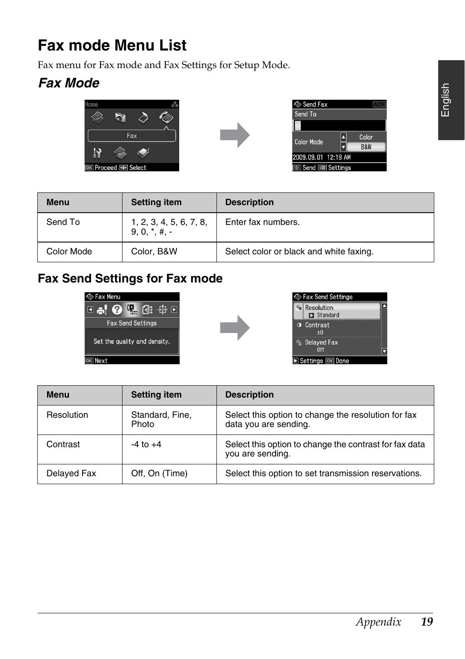# <span id="page-18-0"></span>**Fax mode Menu List**

Fax menu for Fax mode and Fax Settings for Setup Mode.

# *Fax Mode*



**Menu Betting item** 



Color Mode | Color, B&W | Select color or black and white faxing.



| <b>Description</b> |
|--------------------|
| Enter fax numbers. |
|                    |

## **Fax Send Settings for Fax mode**

Send To 1, 2, 3, 4, 5, 6, 7, 8,

 $9, 0, *, #, -$ 





| Menu        | <b>Setting item</b>      | <b>Description</b>                                                           |
|-------------|--------------------------|------------------------------------------------------------------------------|
| Resolution  | Standard, Fine,<br>Photo | Select this option to change the resolution for fax<br>data you are sending. |
| Contrast    | $-4$ to $+4$             | Select this option to change the contrast for fax data<br>you are sending.   |
| Delayed Fax | Off, On (Time)           | Select this option to set transmission reservations.                         |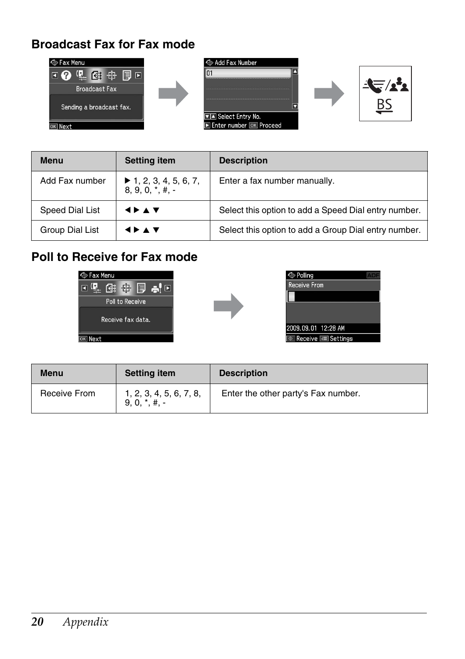## **Broadcast Fax for Fax mode**



| <b>Menu</b>     | <b>Setting item</b>                                               | <b>Description</b>                                   |
|-----------------|-------------------------------------------------------------------|------------------------------------------------------|
| Add Fax number  | $\blacktriangleright$ 1, 2, 3, 4, 5, 6, 7,<br>$8, 9, 0, *$ , #, - | Enter a fax number manually.                         |
| Speed Dial List | <b>SPAY</b>                                                       | Select this option to add a Speed Dial entry number. |
| Group Dial List | <b>4 D A V</b>                                                    | Select this option to add a Group Dial entry number. |

# **Poll to Receive for Fax mode**







| Menu         | <b>Setting item</b>                        | <b>Description</b>                  |
|--------------|--------------------------------------------|-------------------------------------|
| Receive From | 1, 2, 3, 4, 5, 6, 7, 8,<br>$9, 0, *, #. -$ | Enter the other party's Fax number. |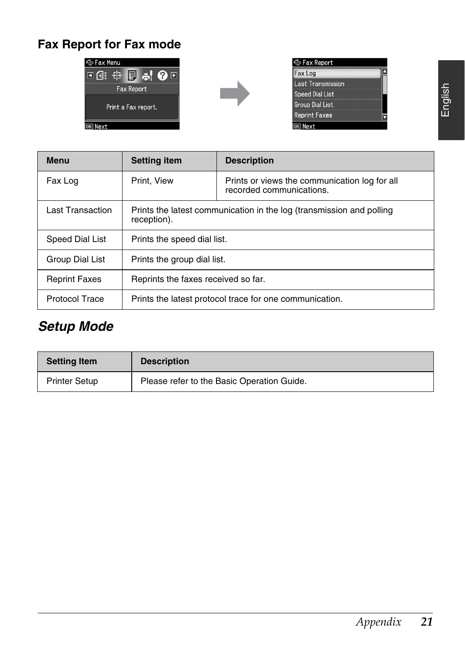# **Fax Report for Fax mode**







| 둥       |
|---------|
| ۰<br>ய் |
|         |

| Menu                  | <b>Setting item</b>                                                                 | <b>Description</b>                                                        |
|-----------------------|-------------------------------------------------------------------------------------|---------------------------------------------------------------------------|
| Fax Log               | Print, View                                                                         | Prints or views the communication log for all<br>recorded communications. |
| Last Transaction      | Prints the latest communication in the log (transmission and polling<br>reception). |                                                                           |
| Speed Dial List       | Prints the speed dial list.                                                         |                                                                           |
| Group Dial List       | Prints the group dial list.                                                         |                                                                           |
| <b>Reprint Faxes</b>  | Reprints the faxes received so far.                                                 |                                                                           |
| <b>Protocol Trace</b> | Prints the latest protocol trace for one communication.                             |                                                                           |

# *Setup Mode*

| <b>Setting Item</b>  | <b>Description</b>                         |
|----------------------|--------------------------------------------|
| <b>Printer Setup</b> | Please refer to the Basic Operation Guide. |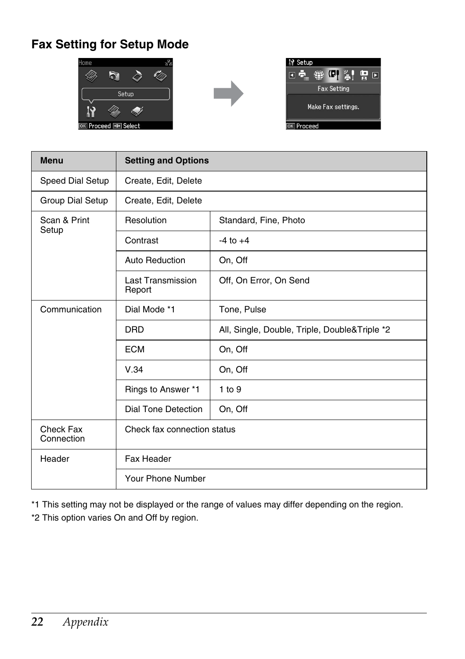# **Fax Setting for Setup Mode**







| <b>Menu</b>             | <b>Setting and Options</b>  |                                               |
|-------------------------|-----------------------------|-----------------------------------------------|
| Speed Dial Setup        | Create, Edit, Delete        |                                               |
| Group Dial Setup        | Create, Edit, Delete        |                                               |
| Scan & Print<br>Setup   | Resolution                  | Standard, Fine, Photo                         |
|                         | Contrast                    | $-4$ to $+4$                                  |
|                         | Auto Reduction              | On, Off                                       |
|                         | Last Transmission<br>Report | Off, On Error, On Send                        |
| Communication           | Dial Mode *1                | Tone, Pulse                                   |
|                         | <b>DRD</b>                  | All, Single, Double, Triple, Double&Triple *2 |
|                         | <b>ECM</b>                  | On, Off                                       |
|                         | V.34                        | On, Off                                       |
|                         | Rings to Answer *1          | 1 to 9                                        |
|                         | <b>Dial Tone Detection</b>  | On, Off                                       |
| Check Fax<br>Connection | Check fax connection status |                                               |
| Header                  | Fax Header                  |                                               |
|                         | Your Phone Number           |                                               |

\*1 This setting may not be displayed or the range of values may differ depending on the region.

\*2 This option varies On and Off by region.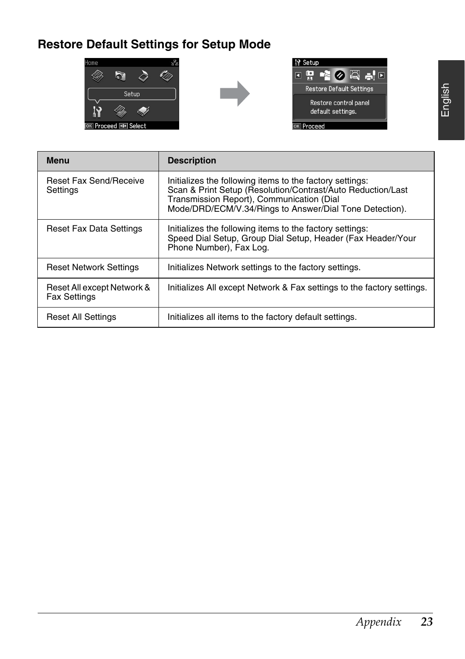# **Restore Default Settings for Setup Mode**







| Menu                                              | <b>Description</b>                                                                                                                                                                                                              |
|---------------------------------------------------|---------------------------------------------------------------------------------------------------------------------------------------------------------------------------------------------------------------------------------|
| <b>Reset Fax Send/Receive</b><br>Settings         | Initializes the following items to the factory settings:<br>Scan & Print Setup (Resolution/Contrast/Auto Reduction/Last<br>Transmission Report), Communication (Dial<br>Mode/DRD/ECM/V.34/Rings to Answer/Dial Tone Detection). |
| Reset Fax Data Settings                           | Initializes the following items to the factory settings:<br>Speed Dial Setup, Group Dial Setup, Header (Fax Header/Your<br>Phone Number), Fax Log.                                                                              |
| <b>Reset Network Settings</b>                     | Initializes Network settings to the factory settings.                                                                                                                                                                           |
| Reset All except Network &<br><b>Fax Settings</b> | Initializes All except Network & Fax settings to the factory settings.                                                                                                                                                          |
| Reset All Settings                                | Initializes all items to the factory default settings.                                                                                                                                                                          |